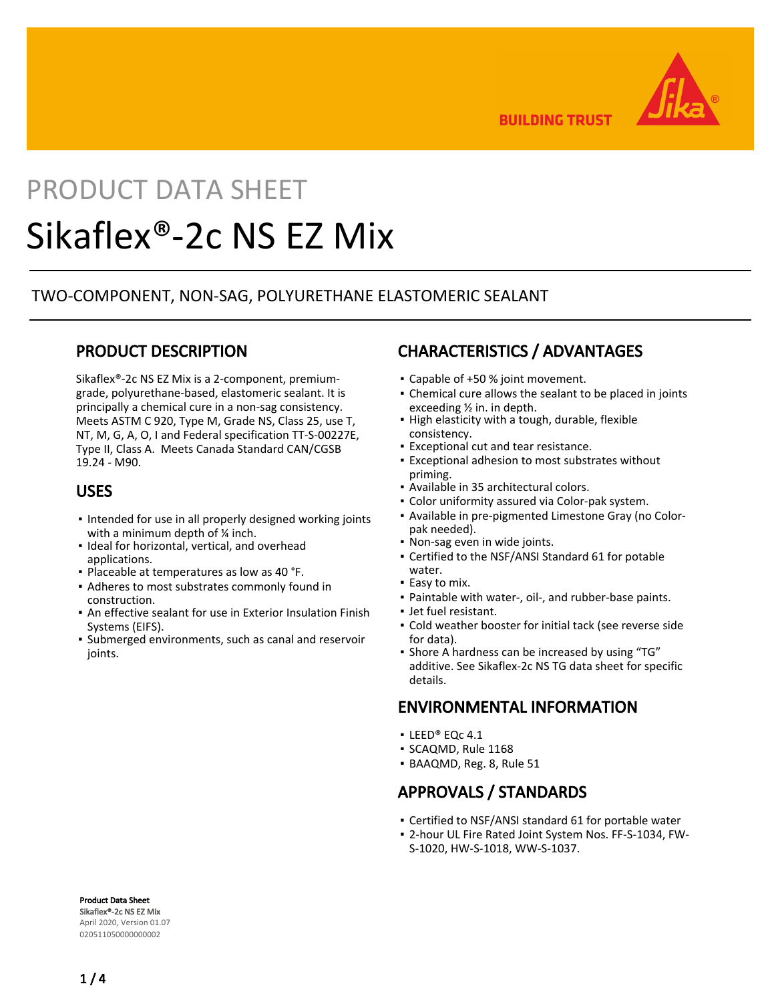**BUILDING TRUST** 

# PRODUCT DATA SHEET Sikaflex®-2c NS EZ Mix

# TWO-COMPONENT, NON-SAG, POLYURETHANE ELASTOMERIC SEALANT

# PRODUCT DESCRIPTION

Sikaflex®-2c NS EZ Mix is a 2-component, premiumgrade, polyurethane-based, elastomeric sealant. It is principally a chemical cure in a non-sag consistency. Meets ASTM C 920, Type M, Grade NS, Class 25, use T, NT, M, G, A, O, I and Federal specification TT-S-00227E, Type II, Class A. Meets Canada Standard CAN/CGSB 19.24 - M90.

### USES

- Intended for use in all properly designed working joints with a minimum depth of ¼ inch.
- Ideal for horizontal, vertical, and overhead applications.
- Placeable at temperatures as low as 40 °F.
- **Adheres to most substrates commonly found in** construction.
- An effective sealant for use in Exterior Insulation Finish Systems (EIFS).
- Submerged environments, such as canal and reservoir joints.

# CHARACTERISTICS / ADVANTAGES

- Capable of +50 % joint movement.
- Chemical cure allows the sealant to be placed in joints exceeding ½ in. in depth.
- . High elasticity with a tough, durable, flexible consistency.
- **Exceptional cut and tear resistance.**
- Exceptional adhesion to most substrates without priming.
- Available in 35 architectural colors.
- Color uniformity assured via Color-pak system.
- Available in pre-pigmented Limestone Gray (no Color-▪ pak needed).
- Non-sag even in wide joints.
- Certified to the NSF/ANSI Standard 61 for potable water.
- Easy to mix.
- Paintable with water-, oil-, and rubber-base paints.
- Jet fuel resistant.
- Cold weather booster for initial tack (see reverse side for data).
- **•** Shore A hardness can be increased by using "TG" additive. See Sikaflex-2c NS TG data sheet for specific details.

### ENVIRONMENTAL INFORMATION

- $\bullet$  LEED® EQc 4.1
- SCAQMD, Rule 1168
- BAAQMD, Reg. 8, Rule 51

# APPROVALS / STANDARDS

- Certified to NSF/ANSI standard 61 for portable water
- 2-hour UL Fire Rated Joint System Nos. FF-S-1034, FW-▪ S-1020, HW-S-1018, WW-S-1037.

Product Data Sheet Sikaflex®-2c NS EZ Mix April 2020, Version 01.07 020511050000000002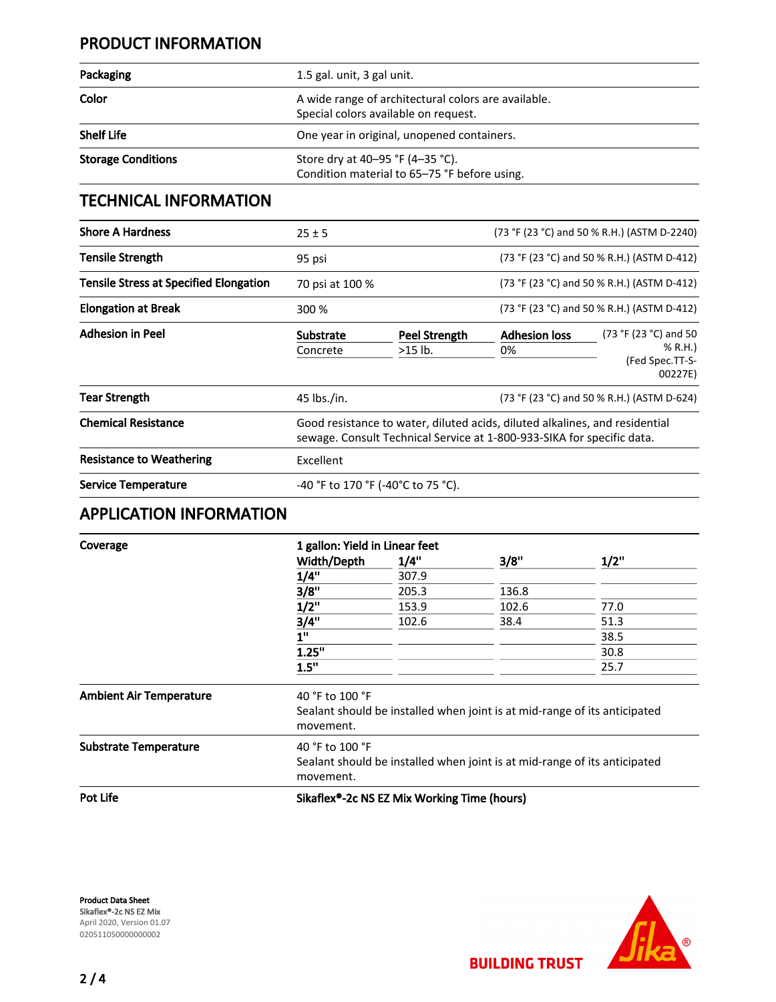# PRODUCT INFORMATION

| Packaging                 | 1.5 gal. unit, 3 gal unit.                                                                  |  |  |
|---------------------------|---------------------------------------------------------------------------------------------|--|--|
| Color                     | A wide range of architectural colors are available.<br>Special colors available on request. |  |  |
| <b>Shelf Life</b>         | One year in original, unopened containers.                                                  |  |  |
| <b>Storage Conditions</b> | Store dry at 40–95 °F (4–35 °C).<br>Condition material to 65-75 °F before using.            |  |  |

# TECHNICAL INFORMATION

| <b>Shore A Hardness</b>                       | $25 \pm 5$                                                                                                                                            |               | (73 °F (23 °C) and 50 % R.H.) (ASTM D-2240) |                                            |
|-----------------------------------------------|-------------------------------------------------------------------------------------------------------------------------------------------------------|---------------|---------------------------------------------|--------------------------------------------|
| <b>Tensile Strength</b>                       | 95 psi                                                                                                                                                |               | (73 °F (23 °C) and 50 % R.H.) (ASTM D-412)  |                                            |
| <b>Tensile Stress at Specified Elongation</b> | 70 psi at 100 %                                                                                                                                       |               |                                             | (73 °F (23 °C) and 50 % R.H.) (ASTM D-412) |
| <b>Elongation at Break</b>                    | 300 %                                                                                                                                                 |               |                                             | (73 °F (23 °C) and 50 % R.H.) (ASTM D-412) |
| <b>Adhesion in Peel</b>                       | Substrate                                                                                                                                             | Peel Strength | <b>Adhesion loss</b>                        | $(73 °F (23 °C)$ and 50                    |
|                                               | Concrete                                                                                                                                              | $>15$ lb.     | 0%                                          | % R.H.)                                    |
|                                               |                                                                                                                                                       |               |                                             | (Fed Spec.TT-S-<br>00227E)                 |
| <b>Tear Strength</b>                          | 45 lbs./in.                                                                                                                                           |               | (73 °F (23 °C) and 50 % R.H.) (ASTM D-624)  |                                            |
| <b>Chemical Resistance</b>                    | Good resistance to water, diluted acids, diluted alkalines, and residential<br>sewage. Consult Technical Service at 1-800-933-SIKA for specific data. |               |                                             |                                            |
| <b>Resistance to Weathering</b>               | Excellent                                                                                                                                             |               |                                             |                                            |
| Service Temperature                           | -40 °F to 170 °F (-40°C to 75 °C).                                                                                                                    |               |                                             |                                            |

### APPLICATION INFORMATION

| Coverage | 1 gallon: Yield in Linear feet                    |                                          |                                |                                 |                                |                                                                                                           |  |      |  |  |  |
|----------|---------------------------------------------------|------------------------------------------|--------------------------------|---------------------------------|--------------------------------|-----------------------------------------------------------------------------------------------------------|--|------|--|--|--|
|          | Width/Depth<br>1/4"<br>3/8"<br>1/2"<br>3/4"<br>1" | 1/4"<br>307.9<br>205.3<br>153.9<br>102.6 | 3/8"<br>136.8<br>102.6<br>38.4 | $1/2$ "<br>77.0<br>51.3<br>38.5 |                                |                                                                                                           |  |      |  |  |  |
|          |                                                   |                                          |                                |                                 | 1.25"                          |                                                                                                           |  | 30.8 |  |  |  |
|          |                                                   |                                          |                                |                                 | 1.5"                           |                                                                                                           |  | 25.7 |  |  |  |
|          |                                                   |                                          |                                |                                 | <b>Ambient Air Temperature</b> | 40 °F to 100 °F<br>Sealant should be installed when joint is at mid-range of its anticipated<br>movement. |  |      |  |  |  |
|          |                                                   |                                          |                                |                                 | <b>Substrate Temperature</b>   | 40 °F to 100 °F<br>Sealant should be installed when joint is at mid-range of its anticipated<br>movement. |  |      |  |  |  |
|          |                                                   |                                          |                                |                                 | Pot Life                       | Sikaflex <sup>®</sup> -2c NS EZ Mix Working Time (hours)                                                  |  |      |  |  |  |

Product Data Sheet Sikaflex®-2c NS EZ Mix April 2020, Version 01.07 020511050000000002

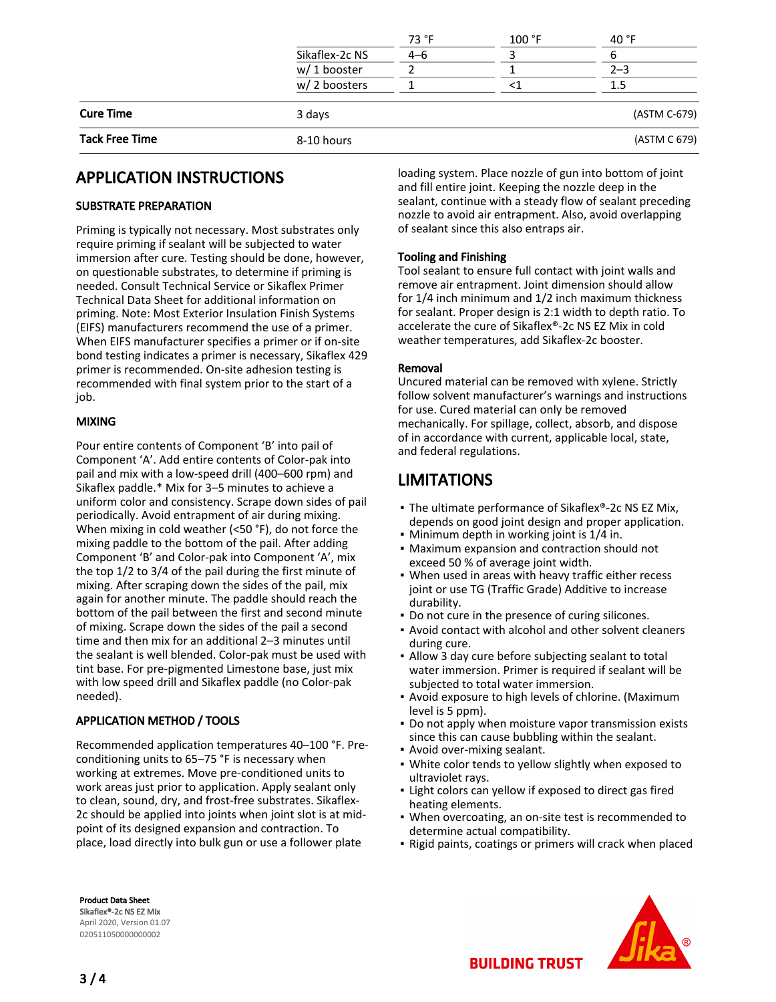|                       | Sikaflex-2c NS<br>w/1 booster<br>w/2 boosters | 73 °F<br>$4 - 6$ | 100 °F | 40 °F<br>$2 - 3$ |
|-----------------------|-----------------------------------------------|------------------|--------|------------------|
|                       |                                               |                  |        |                  |
|                       |                                               |                  |        |                  |
|                       |                                               |                  |        |                  |
| <b>Cure Time</b>      | 3 days                                        |                  |        | (ASTM C-679)     |
| <b>Tack Free Time</b> | 8-10 hours                                    |                  |        | (ASTM C 679)     |

# APPLICATION INSTRUCTIONS

#### SUBSTRATE PREPARATION

Priming is typically not necessary. Most substrates only require priming if sealant will be subjected to water immersion after cure. Testing should be done, however, on questionable substrates, to determine if priming is needed. Consult Technical Service or Sikaflex Primer Technical Data Sheet for additional information on priming. Note: Most Exterior Insulation Finish Systems (EIFS) manufacturers recommend the use of a primer. When EIFS manufacturer specifies a primer or if on-site bond testing indicates a primer is necessary, Sikaflex 429 primer is recommended. On-site adhesion testing is recommended with final system prior to the start of a job.

#### MIXING

Pour entire contents of Component 'B' into pail of Component 'A'. Add entire contents of Color-pak into pail and mix with a low-speed drill (400–600 rpm) and Sikaflex paddle.\* Mix for 3–5 minutes to achieve a uniform color and consistency. Scrape down sides of pail periodically. Avoid entrapment of air during mixing. When mixing in cold weather (<50 °F), do not force the mixing paddle to the bottom of the pail. After adding Component 'B' and Color-pak into Component 'A', mix the top 1/2 to 3/4 of the pail during the first minute of mixing. After scraping down the sides of the pail, mix again for another minute. The paddle should reach the bottom of the pail between the first and second minute of mixing. Scrape down the sides of the pail a second time and then mix for an additional 2–3 minutes until the sealant is well blended. Color-pak must be used with tint base. For pre-pigmented Limestone base, just mix with low speed drill and Sikaflex paddle (no Color-pak needed).

#### APPLICATION METHOD / TOOLS

Recommended application temperatures 40–100 °F. Preconditioning units to 65–75 °F is necessary when working at extremes. Move pre-conditioned units to work areas just prior to application. Apply sealant only to clean, sound, dry, and frost-free substrates. Sikaflex-2c should be applied into joints when joint slot is at midpoint of its designed expansion and contraction. To place, load directly into bulk gun or use a follower plate

loading system. Place nozzle of gun into bottom of joint and fill entire joint. Keeping the nozzle deep in the sealant, continue with a steady flow of sealant preceding nozzle to avoid air entrapment. Also, avoid overlapping of sealant since this also entraps air.

#### Tooling and Finishing

Tool sealant to ensure full contact with joint walls and remove air entrapment. Joint dimension should allow for 1/4 inch minimum and 1/2 inch maximum thickness for sealant. Proper design is 2:1 width to depth ratio. To accelerate the cure of Sikaflex®-2c NS EZ Mix in cold weather temperatures, add Sikaflex-2c booster.

#### Removal

Uncured material can be removed with xylene. Strictly follow solvent manufacturer's warnings and instructions for use. Cured material can only be removed mechanically. For spillage, collect, absorb, and dispose of in accordance with current, applicable local, state, and federal regulations.

# LIMITATIONS

- The ultimate performance of Sikaflex®-2c NS EZ Mix, depends on good joint design and proper application.
- Minimum depth in working joint is 1/4 in.
- Maximum expansion and contraction should not exceed 50 % of average joint width.
- When used in areas with heavy traffic either recess joint or use TG (Traffic Grade) Additive to increase durability.
- Do not cure in the presence of curing silicones.
- Avoid contact with alcohol and other solvent cleaners during cure.
- Allow 3 day cure before subjecting sealant to total water immersion. Primer is required if sealant will be subjected to total water immersion.
- Avoid exposure to high levels of chlorine. (Maximum level is 5 ppm).
- Do not apply when moisture vapor transmission exists since this can cause bubbling within the sealant.
- Avoid over-mixing sealant.
- White color tends to yellow slightly when exposed to ultraviolet rays.
- Light colors can yellow if exposed to direct gas fired heating elements.
- When overcoating, an on-site test is recommended to determine actual compatibility.
- Rigid paints, coatings or primers will crack when placed



Product Data Sheet Sikaflex®-2c NS EZ Mix April 2020, Version 01.07 020511050000000002

**BUILDING TRUST**